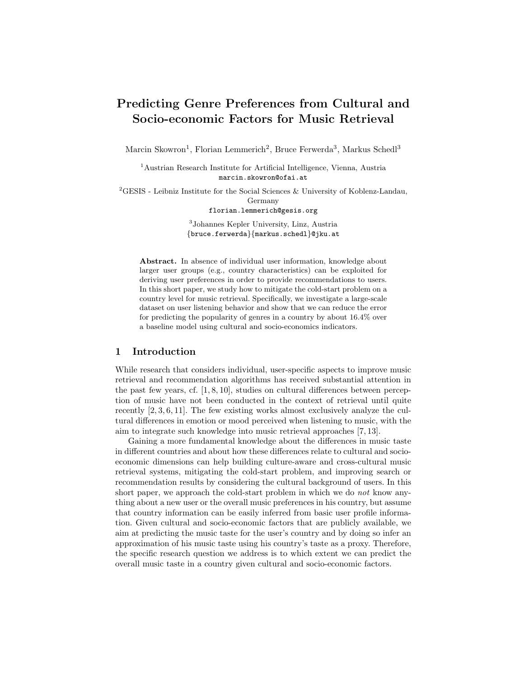# Predicting Genre Preferences from Cultural and Socio-economic Factors for Music Retrieval

Marcin Skowron<sup>1</sup>, Florian Lemmerich<sup>2</sup>, Bruce Ferwerda<sup>3</sup>, Markus Schedl<sup>3</sup>

<sup>1</sup>Austrian Research Institute for Artificial Intelligence, Vienna, Austria marcin.skowron@ofai.at

<sup>2</sup>GESIS - Leibniz Institute for the Social Sciences & University of Koblenz-Landau, Germany

florian.lemmerich@gesis.org

3 Johannes Kepler University, Linz, Austria {bruce.ferwerda}{markus.schedl}@jku.at

Abstract. In absence of individual user information, knowledge about larger user groups (e.g., country characteristics) can be exploited for deriving user preferences in order to provide recommendations to users. In this short paper, we study how to mitigate the cold-start problem on a country level for music retrieval. Specifically, we investigate a large-scale dataset on user listening behavior and show that we can reduce the error for predicting the popularity of genres in a country by about 16.4% over a baseline model using cultural and socio-economics indicators.

# 1 Introduction

While research that considers individual, user-specific aspects to improve music retrieval and recommendation algorithms has received substantial attention in the past few years, cf. [1, 8, 10], studies on cultural differences between perception of music have not been conducted in the context of retrieval until quite recently [2, 3, 6, 11]. The few existing works almost exclusively analyze the cultural differences in emotion or mood perceived when listening to music, with the aim to integrate such knowledge into music retrieval approaches [7, 13].

Gaining a more fundamental knowledge about the differences in music taste in different countries and about how these differences relate to cultural and socioeconomic dimensions can help building culture-aware and cross-cultural music retrieval systems, mitigating the cold-start problem, and improving search or recommendation results by considering the cultural background of users. In this short paper, we approach the cold-start problem in which we do *not* know anything about a new user or the overall music preferences in his country, but assume that country information can be easily inferred from basic user profile information. Given cultural and socio-economic factors that are publicly available, we aim at predicting the music taste for the user's country and by doing so infer an approximation of his music taste using his country's taste as a proxy. Therefore, the specific research question we address is to which extent we can predict the overall music taste in a country given cultural and socio-economic factors.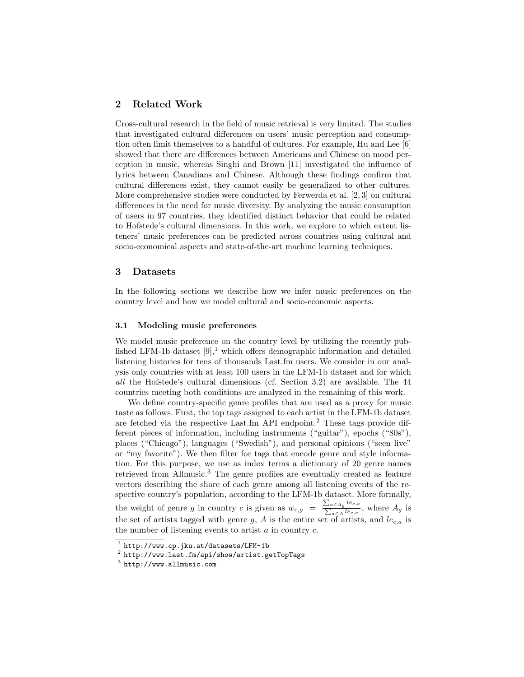# 2 Related Work

Cross-cultural research in the field of music retrieval is very limited. The studies that investigated cultural differences on users' music perception and consumption often limit themselves to a handful of cultures. For example, Hu and Lee [6] showed that there are differences between Americans and Chinese on mood perception in music, whereas Singhi and Brown [11] investigated the influence of lyrics between Canadians and Chinese. Although these findings confirm that cultural differences exist, they cannot easily be generalized to other cultures. More comprehensive studies were conducted by Ferwerda et al. [2, 3] on cultural differences in the need for music diversity. By analyzing the music consumption of users in 97 countries, they identified distinct behavior that could be related to Hofstede's cultural dimensions. In this work, we explore to which extent listeners' music preferences can be predicted across countries using cultural and socio-economical aspects and state-of-the-art machine learning techniques.

## 3 Datasets

In the following sections we describe how we infer music preferences on the country level and how we model cultural and socio-economic aspects.

#### 3.1 Modeling music preferences

We model music preference on the country level by utilizing the recently published LFM-1b dataset  $[9]$ ,<sup>1</sup> which offers demographic information and detailed listening histories for tens of thousands Last.fm users. We consider in our analysis only countries with at least 100 users in the LFM-1b dataset and for which all the Hofstede's cultural dimensions (cf. Section 3.2) are available. The 44 countries meeting both conditions are analyzed in the remaining of this work.

We define country-specific genre profiles that are used as a proxy for music taste as follows. First, the top tags assigned to each artist in the LFM-1b dataset are fetched via the respective Last.fm API endpoint.<sup>2</sup> These tags provide different pieces of information, including instruments ("guitar"), epochs ("80s"), places ("Chicago"), languages ("Swedish"), and personal opinions ("seen live" or "my favorite"). We then filter for tags that encode genre and style information. For this purpose, we use as index terms a dictionary of 20 genre names retrieved from Allmusic.<sup>3</sup> The genre profiles are eventually created as feature vectors describing the share of each genre among all listening events of the respective country's population, according to the LFM-1b dataset. More formally, the weight of genre g in country c is given as  $w_{c,g} = \frac{\sum_{a \in A_g} le_{c,a}}{\sum_{a \in A_g} le_{c,a}}$  $\frac{\sum_{a \in A} a_{e, a}}{\sum_{a \in A} le_{c, a}}$ , where  $A_g$  is the set of artists tagged with genre g, A is the entire set of artists, and  $le_{c,a}$  is the number of listening events to artist  $a$  in country  $c$ .

 $^{\rm 1}$  http://www.cp.jku.at/datasets/LFM-1b

 $^2$  http://www.last.fm/api/show/artist.getTopTags

 $3$  http://www.allmusic.com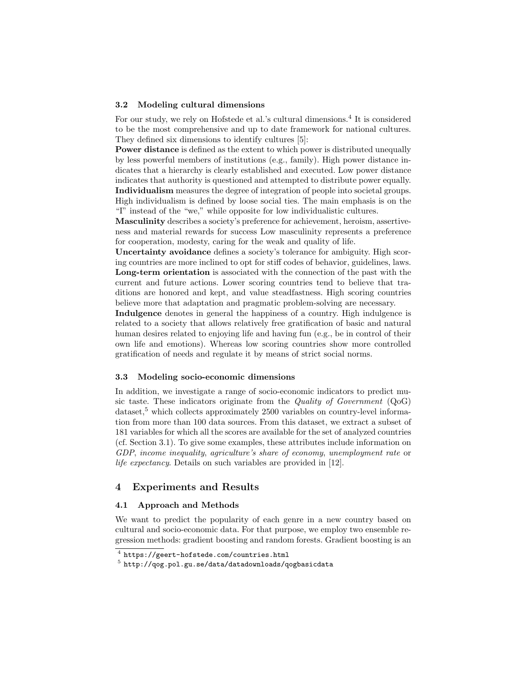#### 3.2 Modeling cultural dimensions

For our study, we rely on Hofstede et al.'s cultural dimensions.<sup>4</sup> It is considered to be the most comprehensive and up to date framework for national cultures. They defined six dimensions to identify cultures [5]:

Power distance is defined as the extent to which power is distributed unequally by less powerful members of institutions (e.g., family). High power distance indicates that a hierarchy is clearly established and executed. Low power distance indicates that authority is questioned and attempted to distribute power equally. Individualism measures the degree of integration of people into societal groups. High individualism is defined by loose social ties. The main emphasis is on the "I" instead of the "we," while opposite for low individualistic cultures.

Masculinity describes a society's preference for achievement, heroism, assertiveness and material rewards for success Low masculinity represents a preference for cooperation, modesty, caring for the weak and quality of life.

Uncertainty avoidance defines a society's tolerance for ambiguity. High scoring countries are more inclined to opt for stiff codes of behavior, guidelines, laws. Long-term orientation is associated with the connection of the past with the current and future actions. Lower scoring countries tend to believe that traditions are honored and kept, and value steadfastness. High scoring countries believe more that adaptation and pragmatic problem-solving are necessary.

Indulgence denotes in general the happiness of a country. High indulgence is related to a society that allows relatively free gratification of basic and natural human desires related to enjoying life and having fun (e.g., be in control of their own life and emotions). Whereas low scoring countries show more controlled gratification of needs and regulate it by means of strict social norms.

#### 3.3 Modeling socio-economic dimensions

In addition, we investigate a range of socio-economic indicators to predict music taste. These indicators originate from the *Quality of Government* ( $Q_0$ G) dataset,<sup>5</sup> which collects approximately 2500 variables on country-level information from more than 100 data sources. From this dataset, we extract a subset of 181 variables for which all the scores are available for the set of analyzed countries (cf. Section 3.1). To give some examples, these attributes include information on GDP, income inequality, agriculture's share of economy, unemployment rate or life expectancy. Details on such variables are provided in [12].

## 4 Experiments and Results

#### 4.1 Approach and Methods

We want to predict the popularity of each genre in a new country based on cultural and socio-economic data. For that purpose, we employ two ensemble regression methods: gradient boosting and random forests. Gradient boosting is an

 $^4$  https://geert-hofstede.com/countries.html

 $^5$ http://qog.pol.gu.se/data/datadownloads/qogbasicdata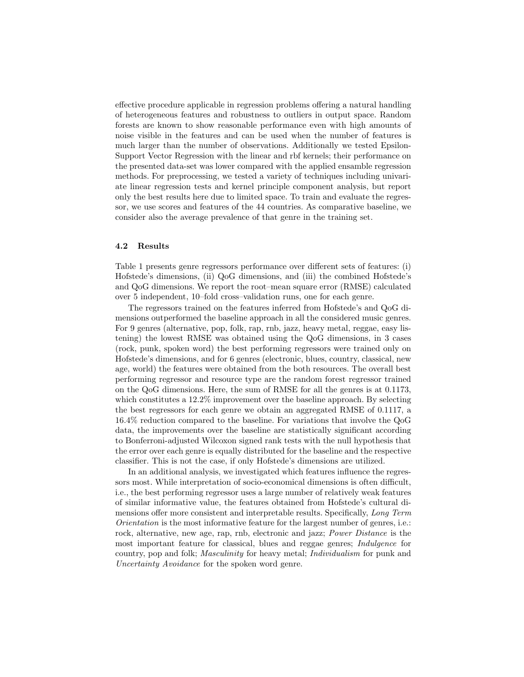effective procedure applicable in regression problems offering a natural handling of heterogeneous features and robustness to outliers in output space. Random forests are known to show reasonable performance even with high amounts of noise visible in the features and can be used when the number of features is much larger than the number of observations. Additionally we tested Epsilon-Support Vector Regression with the linear and rbf kernels; their performance on the presented data-set was lower compared with the applied ensamble regression methods. For preprocessing, we tested a variety of techniques including univariate linear regression tests and kernel principle component analysis, but report only the best results here due to limited space. To train and evaluate the regressor, we use scores and features of the 44 countries. As comparative baseline, we consider also the average prevalence of that genre in the training set.

#### 4.2 Results

Table 1 presents genre regressors performance over different sets of features: (i) Hofstede's dimensions, (ii) QoG dimensions, and (iii) the combined Hofstede's and QoG dimensions. We report the root–mean square error (RMSE) calculated over 5 independent, 10–fold cross–validation runs, one for each genre.

The regressors trained on the features inferred from Hofstede's and QoG dimensions outperformed the baseline approach in all the considered music genres. For 9 genres (alternative, pop, folk, rap, rnb, jazz, heavy metal, reggae, easy listening) the lowest RMSE was obtained using the QoG dimensions, in 3 cases (rock, punk, spoken word) the best performing regressors were trained only on Hofstede's dimensions, and for 6 genres (electronic, blues, country, classical, new age, world) the features were obtained from the both resources. The overall best performing regressor and resource type are the random forest regressor trained on the QoG dimensions. Here, the sum of RMSE for all the genres is at 0.1173, which constitutes a 12.2% improvement over the baseline approach. By selecting the best regressors for each genre we obtain an aggregated RMSE of 0.1117, a 16.4% reduction compared to the baseline. For variations that involve the QoG data, the improvements over the baseline are statistically significant according to Bonferroni-adjusted Wilcoxon signed rank tests with the null hypothesis that the error over each genre is equally distributed for the baseline and the respective classifier. This is not the case, if only Hofstede's dimensions are utilized.

In an additional analysis, we investigated which features influence the regressors most. While interpretation of socio-economical dimensions is often difficult, i.e., the best performing regressor uses a large number of relatively weak features of similar informative value, the features obtained from Hofstede's cultural dimensions offer more consistent and interpretable results. Specifically, Long Term Orientation is the most informative feature for the largest number of genres, i.e.: rock, alternative, new age, rap, rnb, electronic and jazz; Power Distance is the most important feature for classical, blues and reggae genres; Indulgence for country, pop and folk; Masculinity for heavy metal; Individualism for punk and Uncertainty Avoidance for the spoken word genre.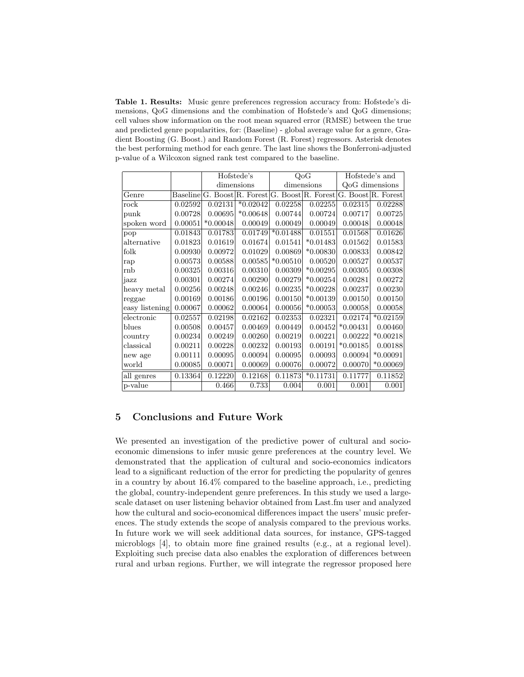Table 1. Results: Music genre preferences regression accuracy from: Hofstede's dimensions, QoG dimensions and the combination of Hofstede's and QoG dimensions; cell values show information on the root mean squared error (RMSE) between the true and predicted genre popularities, for: (Baseline) - global average value for a genre, Gradient Boosting (G. Boost.) and Random Forest (R. Forest) regressors. Asterisk denotes the best performing method for each genre. The last line shows the Bonferroni-adjusted p-value of a Wilcoxon signed rank test compared to the baseline.

|                |         | Hofstede's |            | $Qo\overline{G}$ |                                                                   | Hofstede's and |            |
|----------------|---------|------------|------------|------------------|-------------------------------------------------------------------|----------------|------------|
|                |         | dimensions |            | dimensions       |                                                                   | QoG dimensions |            |
| Genre          |         |            |            |                  | Baseline G. Boost R. Forest G. Boost R. Forest G. Boost R. Forest |                |            |
| rock           | 0.02592 | 0.02131    | $*0.02042$ | 0.02258          | 0.02255                                                           | 0.02315        | 0.02288    |
| punk           | 0.00728 | 0.00695    | $*0.00648$ | 0.00744          | 0.00724                                                           | 0.00717        | 0.00725    |
| spoken word    | 0.00051 | $*0.00048$ | 0.00049    | 0.00049          | 0.00049                                                           | 0.00048        | 0.00048    |
| pop            | 0.01843 | 0.01783    | 0.01749    | $*0.01488$       | 0.01551                                                           | 0.01568        | 0.01626    |
| alternative    | 0.01823 | 0.01619    | 0.01674    | 0.01541          | $*0.01483$                                                        | 0.01562        | 0.01583    |
| folk           | 0.00930 | 0.00972    | 0.01029    | 0.00869          | $*0.00830$                                                        | 0.00833        | 0.00842    |
| rap            | 0.00573 | 0.00588    | 0.00585    | $*0.00510$       | 0.00520                                                           | 0.00527        | 0.00537    |
| rnb            | 0.00325 | 0.00316    | 0.00310    | 0.00309          | $*0.00295$                                                        | 0.00305        | 0.00308    |
| jazz           | 0.00301 | 0.00274    | 0.00290    | 0.00279          | $*0.00254$                                                        | 0.00281        | 0.00272    |
| heavy metal    | 0.00256 | 0.00248    | 0.00246    | 0.00235          | $*0.00228$                                                        | 0.00237        | 0.00230    |
| reggae         | 0.00169 | 0.00186    | 0.00196    | 0.00150          | $*0.00139$                                                        | 0.00150        | 0.00150    |
| easy listening | 0.00067 | 0.00062    | 0.00064    | 0.00056          | $*0.00053$                                                        | 0.00058        | 0.00058    |
| electronic     | 0.02557 | 0.02198    | 0.02162    | 0.02353          | 0.02321                                                           | 0.02174        | $*0.02159$ |
| blues          | 0.00508 | 0.00457    | 0.00469    | 0.00449          | 0.00452                                                           | $*0.00431$     | 0.00460    |
| country        | 0.00234 | 0.00249    | 0.00260    | 0.00219          | 0.00221                                                           | 0.00222        | $*0.00218$ |
| classical      | 0.00211 | 0.00228    | 0.00232    | 0.00193          | 0.00191                                                           | $*0.00185$     | 0.00188    |
| new age        | 0.00111 | 0.00095    | 0.00094    | 0.00095          | 0.00093                                                           | 0.00094        | $*0.00091$ |
| world          | 0.00085 | 0.00071    | 0.00069    | 0.00076          | 0.00072                                                           | 0.00070        | $*0.00069$ |
| all genres     | 0.13364 | 0.12220    | 0.12168    | 0.11873          | $*0.11731$                                                        | 0.11777        | 0.11852    |
| $p$ -value     |         | 0.466      | 0.733      | 0.004            | 0.001                                                             | 0.001          | 0.001      |

# 5 Conclusions and Future Work

We presented an investigation of the predictive power of cultural and socioeconomic dimensions to infer music genre preferences at the country level. We demonstrated that the application of cultural and socio-economics indicators lead to a significant reduction of the error for predicting the popularity of genres in a country by about 16.4% compared to the baseline approach, i.e., predicting the global, country-independent genre preferences. In this study we used a largescale dataset on user listening behavior obtained from Last.fm user and analyzed how the cultural and socio-economical differences impact the users' music preferences. The study extends the scope of analysis compared to the previous works. In future work we will seek additional data sources, for instance, GPS-tagged microblogs [4], to obtain more fine grained results (e.g., at a regional level). Exploiting such precise data also enables the exploration of differences between rural and urban regions. Further, we will integrate the regressor proposed here